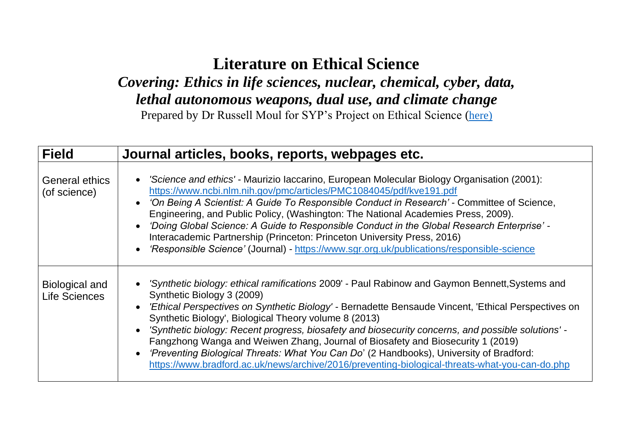## **Literature on Ethical Science**

*Covering: Ethics in life sciences, nuclear, chemical, cyber, data, lethal autonomous weapons, dual use, and climate change*

Prepared by Dr Russell Moul for SYP's Project on Ethical Science ([here\)](https://britishpugwash.org/what-is-pugwash/student-young-pugwash-syp/ethical-science/)

| <b>Field</b>                           | Journal articles, books, reports, webpages etc.                                                                                                                                                                                                                                                                                                                                                                                                                                                                                                                                                                                                                                                            |
|----------------------------------------|------------------------------------------------------------------------------------------------------------------------------------------------------------------------------------------------------------------------------------------------------------------------------------------------------------------------------------------------------------------------------------------------------------------------------------------------------------------------------------------------------------------------------------------------------------------------------------------------------------------------------------------------------------------------------------------------------------|
| <b>General ethics</b><br>(of science)  | • 'Science and ethics' - Maurizio Iaccarino, European Molecular Biology Organisation (2001):<br>https://www.ncbi.nlm.nih.gov/pmc/articles/PMC1084045/pdf/kve191.pdf<br>• 'On Being A Scientist: A Guide To Responsible Conduct in Research' - Committee of Science,<br>Engineering, and Public Policy, (Washington: The National Academies Press, 2009).<br>'Doing Global Science: A Guide to Responsible Conduct in the Global Research Enterprise' -<br>$\bullet$<br>Interacademic Partnership (Princeton: Princeton University Press, 2016)<br>'Responsible Science' (Journal) - https://www.sgr.org.uk/publications/responsible-science<br>$\bullet$                                                   |
| Biological and<br><b>Life Sciences</b> | • 'Synthetic biology: ethical ramifications 2009' - Paul Rabinow and Gaymon Bennett, Systems and<br>Synthetic Biology 3 (2009)<br><i>Ethical Perspectives on Synthetic Biology'</i> - Bernadette Bensaude Vincent, 'Ethical Perspectives on'<br>Synthetic Biology', Biological Theory volume 8 (2013)<br>• 'Synthetic biology: Recent progress, biosafety and biosecurity concerns, and possible solutions' -<br>Fangzhong Wanga and Weiwen Zhang, Journal of Biosafety and Biosecurity 1 (2019)<br>'Preventing Biological Threats: What You Can Do' (2 Handbooks), University of Bradford:<br>$\bullet$<br>https://www.bradford.ac.uk/news/archive/2016/preventing-biological-threats-what-you-can-do.php |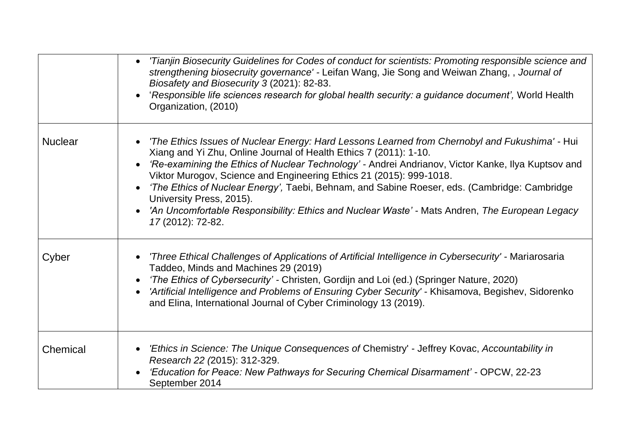|                | Tianjin Biosecurity Guidelines for Codes of conduct for scientists: Promoting responsible science and<br>$\bullet$<br>strengthening biosecruity governance' - Leifan Wang, Jie Song and Weiwan Zhang,, Journal of<br>Biosafety and Biosecurity 3 (2021): 82-83.<br>'Responsible life sciences research for global health security: a guidance document', World Health<br>Organization, (2010)                                                                                                                                                                                                               |
|----------------|-------------------------------------------------------------------------------------------------------------------------------------------------------------------------------------------------------------------------------------------------------------------------------------------------------------------------------------------------------------------------------------------------------------------------------------------------------------------------------------------------------------------------------------------------------------------------------------------------------------|
| <b>Nuclear</b> | 'The Ethics Issues of Nuclear Energy: Hard Lessons Learned from Chernobyl and Fukushima' - Hui<br>Xiang and Yi Zhu, Online Journal of Health Ethics 7 (2011): 1-10.<br>'Re-examining the Ethics of Nuclear Technology' - Andrei Andrianov, Victor Kanke, Ilya Kuptsov and<br>Viktor Murogov, Science and Engineering Ethics 21 (2015): 999-1018.<br><i>The Ethics of Nuclear Energy'</i> , Taebi, Behnam, and Sabine Roeser, eds. (Cambridge: Cambridge)<br>University Press, 2015).<br>'An Uncomfortable Responsibility: Ethics and Nuclear Waste' - Mats Andren, The European Legacy<br>17 (2012): 72-82. |
| Cyber          | Three Ethical Challenges of Applications of Artificial Intelligence in Cybersecurity' - Mariarosaria<br>Taddeo, Minds and Machines 29 (2019)<br>'The Ethics of Cybersecurity' - Christen, Gordijn and Loi (ed.) (Springer Nature, 2020)<br>'Artificial Intelligence and Problems of Ensuring Cyber Security' - Khisamova, Begishev, Sidorenko<br>and Elina, International Journal of Cyber Criminology 13 (2019).                                                                                                                                                                                           |
| Chemical       | 'Ethics in Science: The Unique Consequences of Chemistry' - Jeffrey Kovac, Accountability in<br>Research 22 (2015): 312-329.<br>'Education for Peace: New Pathways for Securing Chemical Disarmament' - OPCW, 22-23<br>September 2014                                                                                                                                                                                                                                                                                                                                                                       |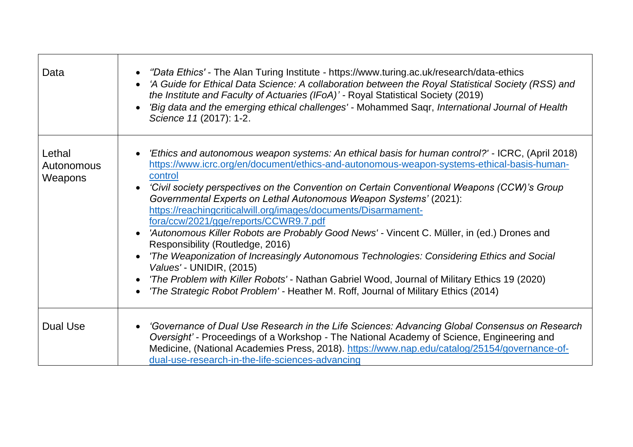| Data                            | <i>"Data Ethics'</i> - The Alan Turing Institute - https://www.turing.ac.uk/research/data-ethics<br>$\bullet$<br>'A Guide for Ethical Data Science: A collaboration between the Royal Statistical Society (RSS) and<br>$\bullet$<br>the Institute and Faculty of Actuaries (IFoA)' - Royal Statistical Society (2019)<br>'Big data and the emerging ethical challenges' - Mohammed Saqr, International Journal of Health<br>$\bullet$<br>Science 11 (2017): 1-2.                                                                                                                                                                                                                                                                                                                                                                                                                                                                                                                                                  |
|---------------------------------|-------------------------------------------------------------------------------------------------------------------------------------------------------------------------------------------------------------------------------------------------------------------------------------------------------------------------------------------------------------------------------------------------------------------------------------------------------------------------------------------------------------------------------------------------------------------------------------------------------------------------------------------------------------------------------------------------------------------------------------------------------------------------------------------------------------------------------------------------------------------------------------------------------------------------------------------------------------------------------------------------------------------|
| Lethal<br>Autonomous<br>Weapons | 'Ethics and autonomous weapon systems: An ethical basis for human control?' - ICRC, (April 2018)<br>$\bullet$<br>https://www.icrc.org/en/document/ethics-and-autonomous-weapon-systems-ethical-basis-human-<br>control<br>'Civil society perspectives on the Convention on Certain Conventional Weapons (CCW)'s Group<br>$\bullet$<br>Governmental Experts on Lethal Autonomous Weapon Systems' (2021):<br>https://reachingcriticalwill.org/images/documents/Disarmament-<br>fora/ccw/2021/gge/reports/CCWR9.7.pdf<br>'Autonomous Killer Robots are Probably Good News' - Vincent C. Müller, in (ed.) Drones and<br>$\bullet$<br>Responsibility (Routledge, 2016)<br>'The Weaponization of Increasingly Autonomous Technologies: Considering Ethics and Social<br>$\bullet$<br>Values' - UNIDIR, (2015)<br>'The Problem with Killer Robots' - Nathan Gabriel Wood, Journal of Military Ethics 19 (2020)<br><i>'The Strategic Robot Problem'</i> - Heather M. Roff, Journal of Military Ethics (2014)<br>$\bullet$ |
| <b>Dual Use</b>                 | 'Governance of Dual Use Research in the Life Sciences: Advancing Global Consensus on Research<br>Oversight' - Proceedings of a Workshop - The National Academy of Science, Engineering and<br>Medicine, (National Academies Press, 2018). https://www.nap.edu/catalog/25154/governance-of-<br>dual-use-research-in-the-life-sciences-advancing                                                                                                                                                                                                                                                                                                                                                                                                                                                                                                                                                                                                                                                                    |